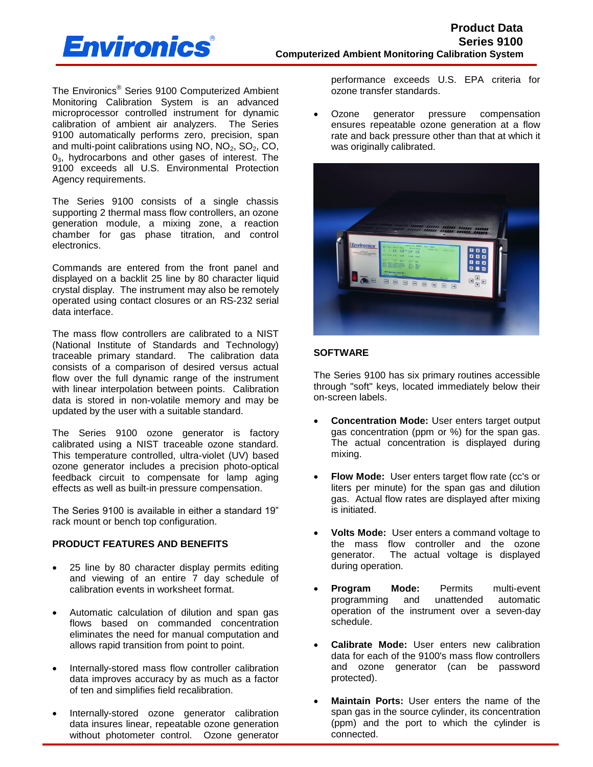

The Environics® Series 9100 Computerized Ambient Monitoring Calibration System is an advanced microprocessor controlled instrument for dynamic calibration of ambient air analyzers. The Series 9100 automatically performs zero, precision, span and multi-point calibrations using  $NO$ ,  $NO<sub>2</sub>$ ,  $SO<sub>2</sub>$ ,  $CO<sub>2</sub>$ ,  $0<sub>3</sub>$ , hydrocarbons and other gases of interest. The 9100 exceeds all U.S. Environmental Protection Agency requirements.

The Series 9100 consists of a single chassis supporting 2 thermal mass flow controllers, an ozone generation module, a mixing zone, a reaction chamber for gas phase titration, and control electronics.

Commands are entered from the front panel and displayed on a backlit 25 line by 80 character liquid crystal display. The instrument may also be remotely operated using contact closures or an RS-232 serial data interface.

The mass flow controllers are calibrated to a NIST (National Institute of Standards and Technology) traceable primary standard. The calibration data consists of a comparison of desired versus actual flow over the full dynamic range of the instrument with linear interpolation between points. Calibration data is stored in non-volatile memory and may be updated by the user with a suitable standard.

The Series 9100 ozone generator is factory calibrated using a NIST traceable ozone standard. This temperature controlled, ultra-violet (UV) based ozone generator includes a precision photo-optical feedback circuit to compensate for lamp aging effects as well as built-in pressure compensation.

The Series 9100 is available in either a standard 19" rack mount or bench top configuration.

## **PRODUCT FEATURES AND BENEFITS**

- 25 line by 80 character display permits editing and viewing of an entire 7 day schedule of calibration events in worksheet format.
- Automatic calculation of dilution and span gas flows based on commanded concentration eliminates the need for manual computation and allows rapid transition from point to point.
- Internally-stored mass flow controller calibration data improves accuracy by as much as a factor of ten and simplifies field recalibration.
- Internally-stored ozone generator calibration data insures linear, repeatable ozone generation without photometer control. Ozone generator

performance exceeds U.S. EPA criteria for ozone transfer standards.

 Ozone generator pressure compensation ensures repeatable ozone generation at a flow rate and back pressure other than that at which it was originally calibrated.



## **SOFTWARE**

The Series 9100 has six primary routines accessible through "soft" keys, located immediately below their on-screen labels.

- **Concentration Mode:** User enters target output gas concentration (ppm or %) for the span gas. The actual concentration is displayed during mixing.
- **Flow Mode:** User enters target flow rate (cc's or liters per minute) for the span gas and dilution gas. Actual flow rates are displayed after mixing is initiated.
- **Volts Mode:** User enters a command voltage to the mass flow controller and the ozone generator. The actual voltage is displayed during operation.
- **Program Mode:** Permits multi-event programming and unattended automatic operation of the instrument over a seven-day schedule.
- **Calibrate Mode:** User enters new calibration data for each of the 9100's mass flow controllers and ozone generator (can be password protected).
- **Maintain Ports:** User enters the name of the span gas in the source cylinder, its concentration (ppm) and the port to which the cylinder is connected.